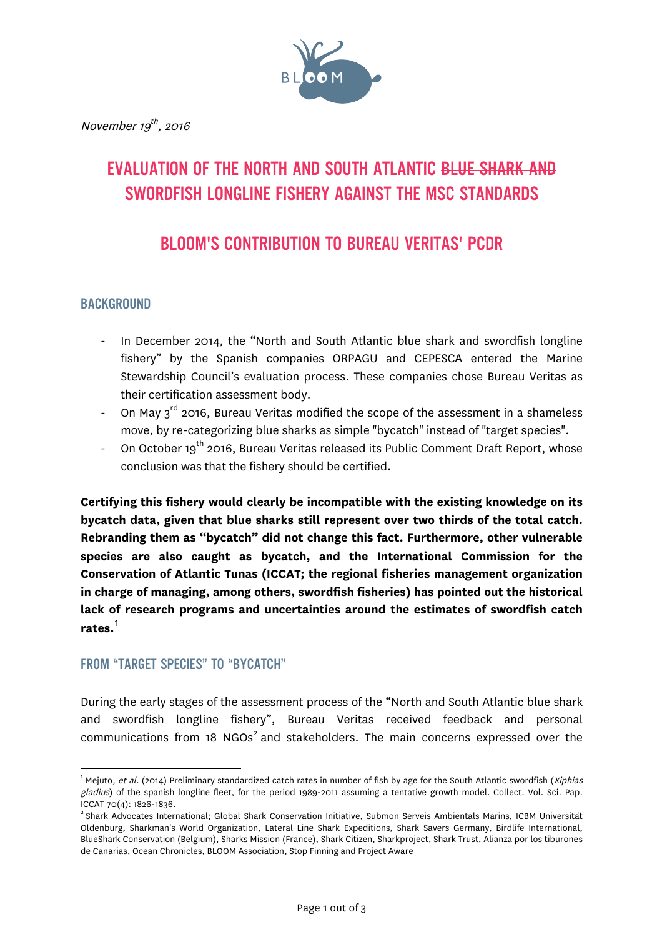

November 19<sup>th</sup>, 2016

# EVALUATION OF THE NORTH AND SOUTH ATLANTIC BLUE SHARK AND SWORDFISH LONGLINE FISHERY AGAINST THE MSC STANDARDS

## BLOOM'S CONTRIBUTION TO BUREAU VERITAS' PCDR

#### BACKGROUND

- In December 2014, the "North and South Atlantic blue shark and swordfish longline fishery" by the Spanish companies ORPAGU and CEPESCA entered the Marine Stewardship Council's evaluation process. These companies chose Bureau Veritas as their certification assessment body.
- On May 3<sup>rd</sup> 2016, Bureau Veritas modified the scope of the assessment in a shameless move, by re-categorizing blue sharks as simple "bycatch" instead of "target species".
- On October 19<sup>th</sup> 2016, Bureau Veritas released its Public Comment Draft Report, whose conclusion was that the fishery should be certified.

**Certifying this fishery would clearly be incompatible with the existing knowledge on its bycatch data, given that blue sharks still represent over two thirds of the total catch. Rebranding them as "bycatch" did not change this fact. Furthermore, other vulnerable species are also caught as bycatch, and the International Commission for the Conservation of Atlantic Tunas (ICCAT; the regional fisheries management organization in charge of managing, among others, swordfish fisheries) has pointed out the historical lack of research programs and uncertainties around the estimates of swordfish catch rates.**<sup>1</sup>

#### FROM "TARGET SPECIES" TO "BYCATCH"

During the early stages of the assessment process of the "North and South Atlantic blue shark and swordfish longline fishery", Bureau Veritas received feedback and personal communications from 18  $NGOs<sup>2</sup>$  and stakeholders. The main concerns expressed over the

<sup>|&</sup>lt;br>1 <sup>1</sup> Mejuto, et al. (2014) Preliminary standardized catch rates in number of fish by age for the South Atlantic swordfish (Xiphias gladius) of the spanish longline fleet, for the period 1989-2011 assuming a tentative growth model. Collect. Vol. Sci. Pap. ICCAT 70(4): 1826-1836.<br><sup>2</sup> Shark Advocates International; Global Shark Conservation Initiative, Submon Serveis Ambientals Marins, ICBM Universitat̃

Oldenburg, Sharkman's World Organization, Lateral Line Shark Expeditions, Shark Savers Germany, Birdlife International, BlueShark Conservation (Belgium), Sharks Mission (France), Shark Citizen, Sharkproject, Shark Trust, Alianza por los tiburones de Canarias, Ocean Chronicles, BLOOM Association, Stop Finning and Project Aware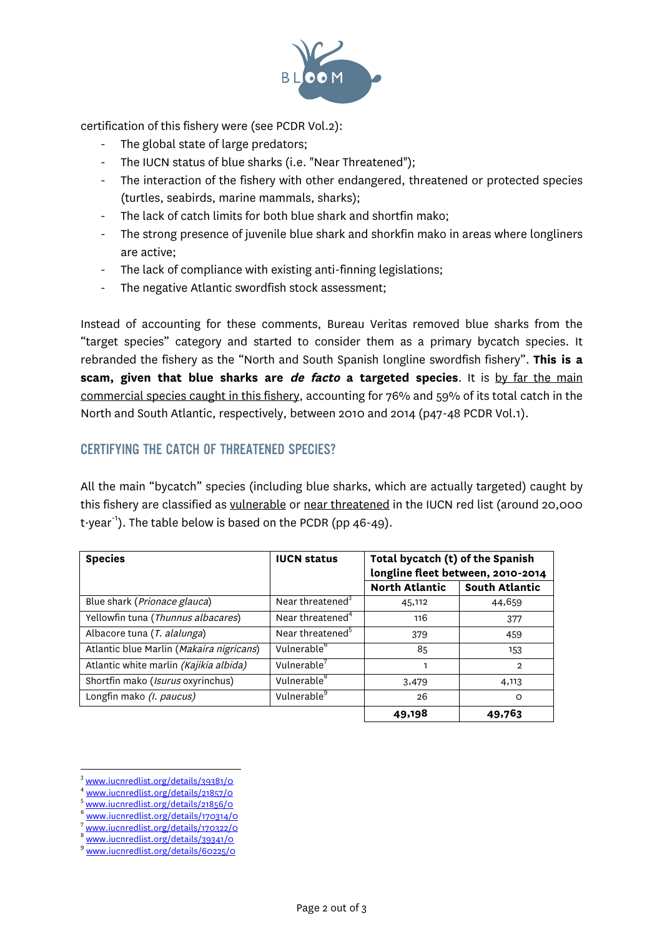

certification of this fishery were (see PCDR Vol.2):

- The global state of large predators;
- The IUCN status of blue sharks (i.e. "Near Threatened");
- The interaction of the fishery with other endangered, threatened or protected species (turtles, seabirds, marine mammals, sharks);
- The lack of catch limits for both blue shark and shortfin mako;
- The strong presence of juvenile blue shark and shorkfin mako in areas where longliners are active;
- The lack of compliance with existing anti-finning legislations;
- The negative Atlantic swordfish stock assessment;

Instead of accounting for these comments, Bureau Veritas removed blue sharks from the "target species" category and started to consider them as a primary bycatch species. It rebranded the fishery as the "North and South Spanish longline swordfish fishery". **This is a scam, given that blue sharks are de facto a targeted species**. It is by far the main commercial species caught in this fishery, accounting for 76% and 59% of its total catch in the North and South Atlantic, respectively, between 2010 and 2014 (p47-48 PCDR Vol.1).

### CERTIFYING THE CATCH OF THREATENED SPECIES?

All the main "bycatch" species (including blue sharks, which are actually targeted) caught by this fishery are classified as vulnerable or near threatened in the IUCN red list (around 20,000 t $\cdot$ year $^{-1}$ ). The table below is based on the PCDR (pp 46-49).

| <b>Species</b>                           | <b>IUCN status</b>           | Total bycatch (t) of the Spanish<br>longline fleet between, 2010-2014 |                       |
|------------------------------------------|------------------------------|-----------------------------------------------------------------------|-----------------------|
|                                          |                              | <b>North Atlantic</b>                                                 | <b>South Atlantic</b> |
| Blue shark (Prionace glauca)             | Near threatened $3$          | 45,112                                                                | 44,659                |
| Yellowfin tuna (Thunnus albacares)       | Near threatened <sup>4</sup> | 116                                                                   | 377                   |
| Albacore tuna (T. alalunga)              | Near threatened <sup>5</sup> | 379                                                                   | 459                   |
| Atlantic blue Marlin (Makaira nigricans) | Vulnerable <sup>o</sup>      | 85                                                                    | 153                   |
| Atlantic white marlin (Kajikia albida)   | Vulnerable <sup>7</sup>      | 1                                                                     | $\mathbf{2}$          |
| Shortfin mako (Isurus oxyrinchus)        | Vulnerable <sup>8</sup>      | 3,479                                                                 | 4,113                 |
| Longfin mako (I. paucus)                 | Vulnerable <sup>9</sup>      | 26                                                                    | $\Omega$              |
|                                          |                              | 49,198                                                                | 49,763                |

www.iucnredlist.org/details/39381/0

www.iucnredlist.org/details/21857/0

www.iucnredlist.org/details/21856/0

<sup>6</sup> www.iucnredlist.org/details/170314/0

www.iucnredlist.org/details/170322/0

www.iucnredlist.org/details/39341/0

<sup>9</sup> www.iucnredlist.org/details/60225/0